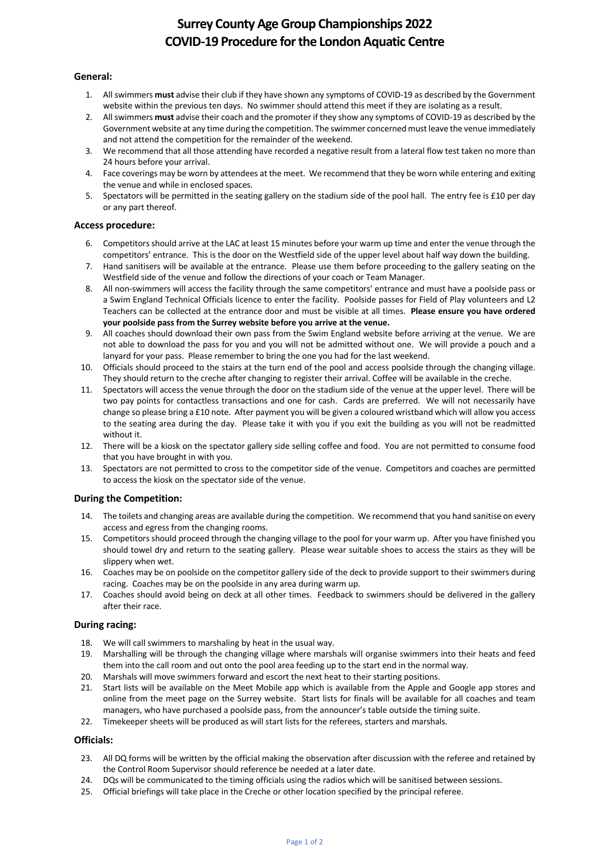# **Surrey County Age Group Championships 2022 COVID-19 Procedure forthe London Aquatic Centre**

### **General:**

- 1. All swimmers **must** advise their club if they have shown any symptoms of COVID-19 as described by the Government website within the previous ten days. No swimmer should attend this meet if they are isolating as a result.
- 2. All swimmers **must** advise their coach and the promoter if they show any symptoms of COVID-19 as described by the Government website at any time during the competition. The swimmer concerned must leave the venue immediately and not attend the competition for the remainder of the weekend.
- 3. We recommend that all those attending have recorded a negative result from a lateral flow test taken no more than 24 hours before your arrival.
- 4. Face coverings may be worn by attendees at the meet. We recommend that they be worn while entering and exiting the venue and while in enclosed spaces.
- 5. Spectators will be permitted in the seating gallery on the stadium side of the pool hall. The entry fee is £10 per day or any part thereof.

## **Access procedure:**

- 6. Competitorsshould arrive at the LAC at least 15 minutes before your warm up time and enter the venue through the competitors' entrance. This is the door on the Westfield side of the upper level about half way down the building.
- 7. Hand sanitisers will be available at the entrance. Please use them before proceeding to the gallery seating on the Westfield side of the venue and follow the directions of your coach or Team Manager.
- 8. All non-swimmers will access the facility through the same competitors' entrance and must have a poolside pass or a Swim England Technical Officials licence to enter the facility. Poolside passes for Field of Play volunteers and L2 Teachers can be collected at the entrance door and must be visible at all times. **Please ensure you have ordered your poolside pass from the Surrey website before you arrive at the venue.**
- 9. All coaches should download their own pass from the Swim England website before arriving at the venue. We are not able to download the pass for you and you will not be admitted without one. We will provide a pouch and a lanyard for your pass. Please remember to bring the one you had for the last weekend.
- 10. Officials should proceed to the stairs at the turn end of the pool and access poolside through the changing village. They should return to the creche after changing to register their arrival. Coffee will be available in the creche.
- 11. Spectators will access the venue through the door on the stadium side of the venue at the upper level. There will be two pay points for contactless transactions and one for cash. Cards are preferred. We will not necessarily have change so please bring a £10 note. After payment you will be given a coloured wristband which will allow you access to the seating area during the day. Please take it with you if you exit the building as you will not be readmitted without it.
- 12. There will be a kiosk on the spectator gallery side selling coffee and food. You are not permitted to consume food that you have brought in with you.
- 13. Spectators are not permitted to cross to the competitor side of the venue. Competitors and coaches are permitted to access the kiosk on the spectator side of the venue.

## **During the Competition:**

- 14. The toilets and changing areas are available during the competition. We recommend that you hand sanitise on every access and egress from the changing rooms.
- 15. Competitors should proceed through the changing village to the pool for your warm up. After you have finished you should towel dry and return to the seating gallery. Please wear suitable shoes to access the stairs as they will be slippery when wet.
- 16. Coaches may be on poolside on the competitor gallery side of the deck to provide support to their swimmers during racing. Coaches may be on the poolside in any area during warm up.
- 17. Coaches should avoid being on deck at all other times. Feedback to swimmers should be delivered in the gallery after their race.

#### **During racing:**

- 18. We will call swimmers to marshaling by heat in the usual way.
- 19. Marshalling will be through the changing village where marshals will organise swimmers into their heats and feed them into the call room and out onto the pool area feeding up to the start end in the normal way.
- 20. Marshals will move swimmers forward and escort the next heat to their starting positions.
- 21. Start lists will be available on the Meet Mobile app which is available from the Apple and Google app stores and online from the meet page on the Surrey website. Start lists for finals will be available for all coaches and team managers, who have purchased a poolside pass, from the announcer's table outside the timing suite.
- 22. Timekeeper sheets will be produced as will start lists for the referees, starters and marshals.

#### **Officials:**

- 23. All DQ forms will be written by the official making the observation after discussion with the referee and retained by the Control Room Supervisor should reference be needed at a later date.
- 24. DQs will be communicated to the timing officials using the radios which will be sanitised between sessions.
- 25. Official briefings will take place in the Creche or other location specified by the principal referee.